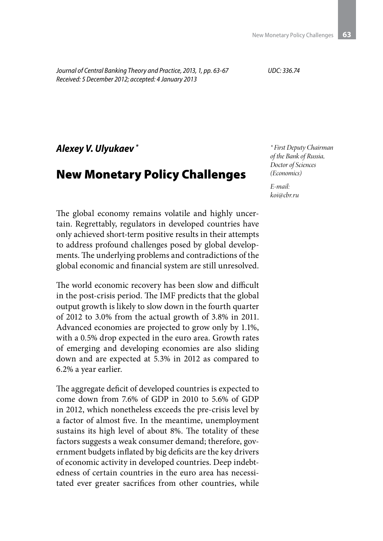*Journal of Central Banking Theory and Practice, 2013, 1, pp. 63-67 Received: 5 December 2012; accepted: 4 January 2013*

*UDC: 336.74*

*Alexey V. Ulyukaev \**

## New Monetary Policy Challenges

The global economy remains volatile and highly uncertain. Regrettably, regulators in developed countries have only achieved short-term positive results in their attempts to address profound challenges posed by global developments. The underlying problems and contradictions of the global economic and financial system are still unresolved.

The world economic recovery has been slow and difficult in the post-crisis period. The IMF predicts that the global output growth is likely to slow down in the fourth quarter of 2012 to 3.0% from the actual growth of 3.8% in 2011. Advanced economies are projected to grow only by 1.1%, with a 0.5% drop expected in the euro area. Growth rates of emerging and developing economies are also sliding down and are expected at 5.3% in 2012 as compared to 6.2% a year earlier.

The aggregate deficit of developed countries is expected to come down from 7.6% of GDP in 2010 to 5.6% of GDP in 2012, which nonetheless exceeds the pre-crisis level by a factor of almost five. In the meantime, unemployment sustains its high level of about 8%. The totality of these factors suggests a weak consumer demand; therefore, government budgets inflated by big deficits are the key drivers of economic activity in developed countries. Deep indebtedness of certain countries in the euro area has necessitated ever greater sacrifices from other countries, while *\* First Deputy Chairman of the Bank of Russia, Doctor of Sciences (Economics)*

*E-mail: koi@cbr.ru*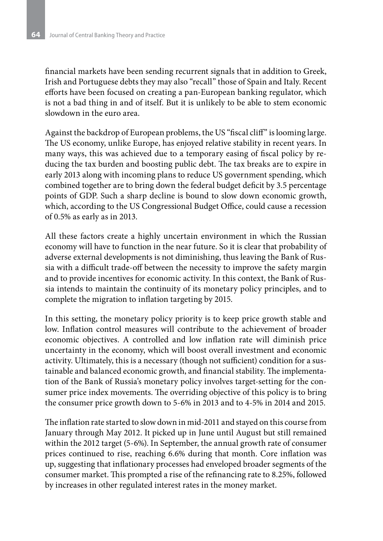financial markets have been sending recurrent signals that in addition to Greek, Irish and Portuguese debts they may also "recall" those of Spain and Italy. Recent efforts have been focused on creating a pan-European banking regulator, which is not a bad thing in and of itself. But it is unlikely to be able to stem economic slowdown in the euro area.

Against the backdrop of European problems, the US "fiscal cliff" is looming large. The US economy, unlike Europe, has enjoyed relative stability in recent years. In many ways, this was achieved due to a temporary easing of fiscal policy by reducing the tax burden and boosting public debt. The tax breaks are to expire in early 2013 along with incoming plans to reduce US government spending, which combined together are to bring down the federal budget deficit by 3.5 percentage points of GDP. Such a sharp decline is bound to slow down economic growth, which, according to the US Congressional Budget Office, could cause a recession of 0.5% as early as in 2013.

All these factors create a highly uncertain environment in which the Russian economy will have to function in the near future. So it is clear that probability of adverse external developments is not diminishing, thus leaving the Bank of Russia with a difficult trade-off between the necessity to improve the safety margin and to provide incentives for economic activity. In this context, the Bank of Russia intends to maintain the continuity of its monetary policy principles, and to complete the migration to inflation targeting by 2015.

In this setting, the monetary policy priority is to keep price growth stable and low. Inflation control measures will contribute to the achievement of broader economic objectives. A controlled and low inflation rate will diminish price uncertainty in the economy, which will boost overall investment and economic activity. Ultimately, this is a necessary (though not sufficient) condition for a sustainable and balanced economic growth, and financial stability. The implementation of the Bank of Russia's monetary policy involves target-setting for the consumer price index movements. The overriding objective of this policy is to bring the consumer price growth down to 5-6% in 2013 and to 4-5% in 2014 and 2015.

The inflation rate started to slow down in mid-2011 and stayed on this course from January through May 2012. It picked up in June until August but still remained within the 2012 target (5-6%). In September, the annual growth rate of consumer prices continued to rise, reaching 6.6% during that month. Core inflation was up, suggesting that inflationary processes had enveloped broader segments of the consumer market. This prompted a rise of the refinancing rate to 8.25%, followed by increases in other regulated interest rates in the money market.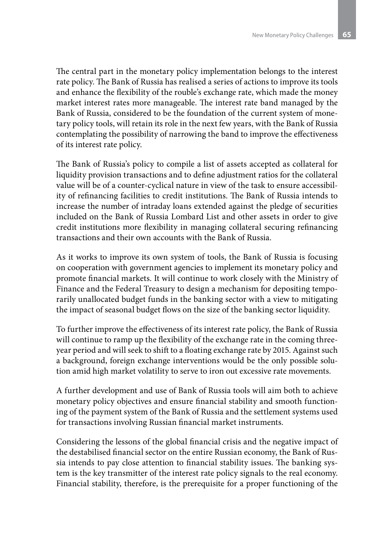The central part in the monetary policy implementation belongs to the interest rate policy. The Bank of Russia has realised a series of actions to improve its tools and enhance the flexibility of the rouble's exchange rate, which made the money market interest rates more manageable. The interest rate band managed by the Bank of Russia, considered to be the foundation of the current system of monetary policy tools, will retain its role in the next few years, with the Bank of Russia contemplating the possibility of narrowing the band to improve the effectiveness of its interest rate policy.

The Bank of Russia's policy to compile a list of assets accepted as collateral for liquidity provision transactions and to define adjustment ratios for the collateral value will be of a counter-cyclical nature in view of the task to ensure accessibility of refinancing facilities to credit institutions. The Bank of Russia intends to increase the number of intraday loans extended against the pledge of securities included on the Bank of Russia Lombard List and other assets in order to give credit institutions more flexibility in managing collateral securing refinancing transactions and their own accounts with the Bank of Russia.

As it works to improve its own system of tools, the Bank of Russia is focusing on cooperation with government agencies to implement its monetary policy and promote financial markets. It will continue to work closely with the Ministry of Finance and the Federal Treasury to design a mechanism for depositing temporarily unallocated budget funds in the banking sector with a view to mitigating the impact of seasonal budget flows on the size of the banking sector liquidity.

To further improve the effectiveness of its interest rate policy, the Bank of Russia will continue to ramp up the flexibility of the exchange rate in the coming threeyear period and will seek to shift to a floating exchange rate by 2015. Against such a background, foreign exchange interventions would be the only possible solution amid high market volatility to serve to iron out excessive rate movements.

A further development and use of Bank of Russia tools will aim both to achieve monetary policy objectives and ensure financial stability and smooth functioning of the payment system of the Bank of Russia and the settlement systems used for transactions involving Russian financial market instruments.

Considering the lessons of the global financial crisis and the negative impact of the destabilised financial sector on the entire Russian economy, the Bank of Russia intends to pay close attention to financial stability issues. The banking system is the key transmitter of the interest rate policy signals to the real economy. Financial stability, therefore, is the prerequisite for a proper functioning of the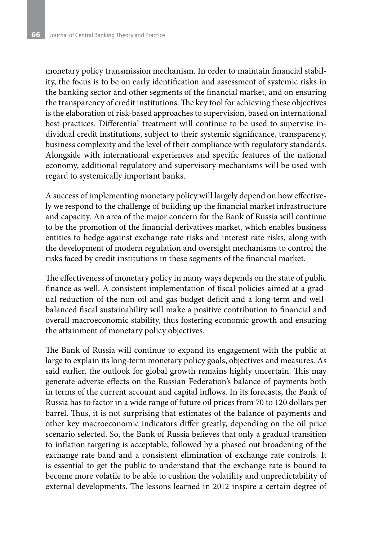monetary policy transmission mechanism. In order to maintain financial stability, the focus is to be on early identification and assessment of systemic risks in the banking sector and other segments of the financial market, and on ensuring the transparency of credit institutions. The key tool for achieving these objectives is the elaboration of risk-based approaches to supervision, based on international best practices. Differential treatment will continue to be used to supervise individual credit institutions, subject to their systemic significance, transparency, business complexity and the level of their compliance with regulatory standards. Alongside with international experiences and specific features of the national economy, additional regulatory and supervisory mechanisms will be used with regard to systemically important banks.

A success of implementing monetary policy will largely depend on how effectively we respond to the challenge of building up the financial market infrastructure and capacity. An area of the major concern for the Bank of Russia will continue to be the promotion of the financial derivatives market, which enables business entities to hedge against exchange rate risks and interest rate risks, along with the development of modern regulation and oversight mechanisms to control the risks faced by credit institutions in these segments of the financial market.

The effectiveness of monetary policy in many ways depends on the state of public finance as well. A consistent implementation of fiscal policies aimed at a gradual reduction of the non-oil and gas budget deficit and a long-term and wellbalanced fiscal sustainability will make a positive contribution to financial and overall macroeconomic stability, thus fostering economic growth and ensuring the attainment of monetary policy objectives.

The Bank of Russia will continue to expand its engagement with the public at large to explain its long-term monetary policy goals, objectives and measures. As said earlier, the outlook for global growth remains highly uncertain. This may generate adverse effects on the Russian Federation's balance of payments both in terms of the current account and capital inflows. In its forecasts, the Bank of Russia has to factor in a wide range of future oil prices from 70 to 120 dollars per barrel. Thus, it is not surprising that estimates of the balance of payments and other key macroeconomic indicators differ greatly, depending on the oil price scenario selected. So, the Bank of Russia believes that only a gradual transition to inflation targeting is acceptable, followed by a phased out broadening of the exchange rate band and a consistent elimination of exchange rate controls. It is essential to get the public to understand that the exchange rate is bound to become more volatile to be able to cushion the volatility and unpredictability of external developments. The lessons learned in 2012 inspire a certain degree of